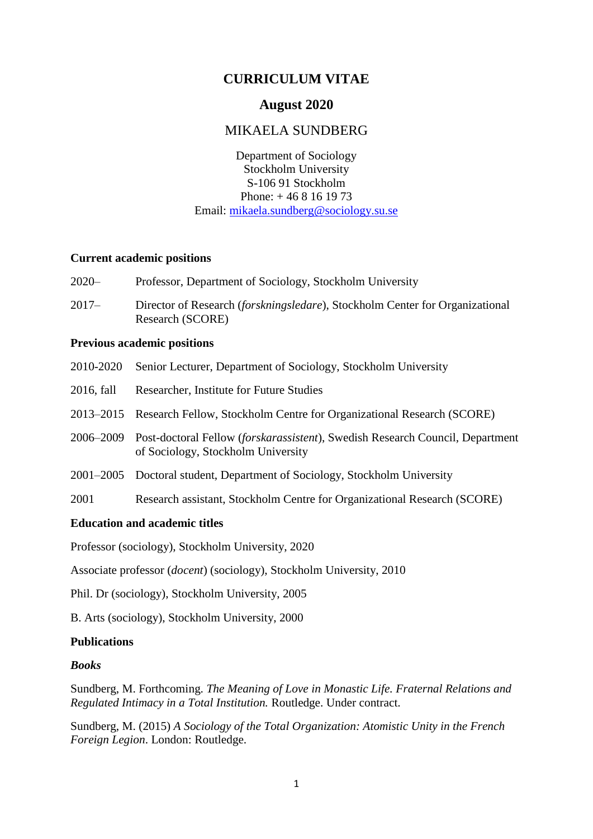# **CURRICULUM VITAE**

## **August 2020**

## MIKAELA SUNDBERG

Department of Sociology Stockholm University S-106 91 Stockholm Phone: + 46 8 16 19 73 Email: [mikaela.sundberg@sociology.su.se](mailto:mikaela.sundberg@sociology.su.se)

### **Current academic positions**

- 2020– Professor, Department of Sociology, Stockholm University
- 2017– Director of Research (*forskningsledare*), Stockholm Center for Organizational Research (SCORE)

### **Previous academic positions**

- 2010-2020 Senior Lecturer, Department of Sociology, Stockholm University
- 2016, fall Researcher, Institute for Future Studies
- 2013–2015 Research Fellow, Stockholm Centre for Organizational Research (SCORE)
- 2006–2009 Post-doctoral Fellow (*forskarassistent*), Swedish Research Council, Department of Sociology, Stockholm University
- 2001–2005 Doctoral student, Department of Sociology, Stockholm University
- 2001 Research assistant, Stockholm Centre for Organizational Research (SCORE)

### **Education and academic titles**

Professor (sociology), Stockholm University, 2020

Associate professor (*docent*) (sociology), Stockholm University, 2010

Phil. Dr (sociology), Stockholm University, 2005

B. Arts (sociology), Stockholm University, 2000

### **Publications**

### *Books*

Sundberg, M. Forthcoming. *The Meaning of Love in Monastic Life. Fraternal Relations and Regulated Intimacy in a Total Institution.* Routledge. Under contract.

Sundberg, M. (2015) *A Sociology of the Total Organization: Atomistic Unity in the French Foreign Legion*. London: Routledge.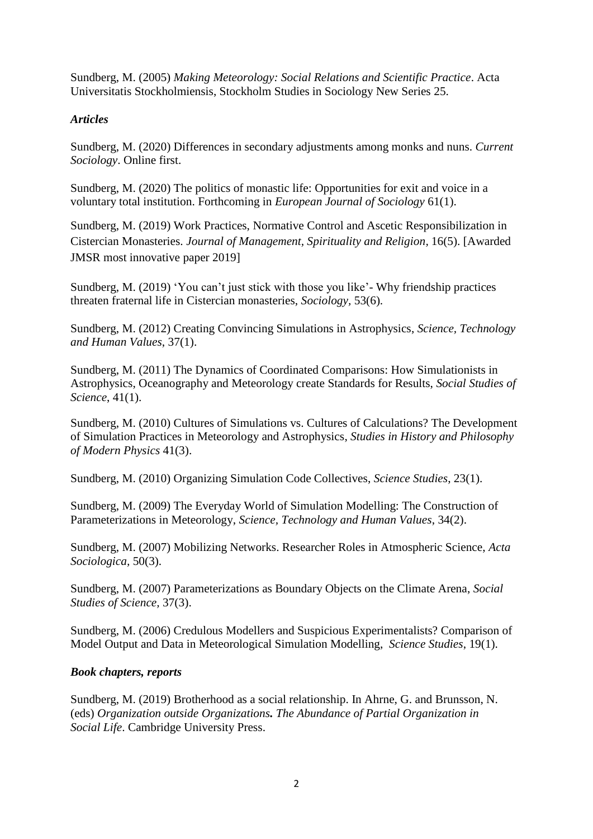Sundberg, M. (2005) *Making Meteorology: Social Relations and Scientific Practice*. Acta Universitatis Stockholmiensis, Stockholm Studies in Sociology New Series 25.

### *Articles*

Sundberg, M. (2020) Differences in secondary adjustments among monks and nuns. *Current Sociology*. Online first.

Sundberg, M. (2020) The politics of monastic life: Opportunities for exit and voice in a voluntary total institution. Forthcoming in *European Journal of Sociology* 61(1).

Sundberg, M. (2019) Work Practices, Normative Control and Ascetic Responsibilization in Cistercian Monasteries. *Journal of Management, Spirituality and Religion,* 16(5). [Awarded JMSR most innovative paper 2019]

Sundberg, M. (2019) 'You can't just stick with those you like'- Why friendship practices threaten fraternal life in Cistercian monasteries, *Sociology,* 53(6).

Sundberg, M. (2012) [Creating Convincing Simulations in Astrophysics,](http://sth.sagepub.com/content/early/2010/10/31/0162243910385417.abstract) *Science, Technology and Human Values*, 37(1).

Sundberg, M. (2011) [The Dynamics of Coordinated Comparisons: How Simulationists in](http://sss.sagepub.com/content/early/2010/11/11/0306312710385743.abstract)  [Astrophysics, Oceanography and Meteorology create Standards for Results,](http://sss.sagepub.com/content/early/2010/11/11/0306312710385743.abstract) *Social Studies of Science*, 41(1).

Sundberg, M. (2010) [Cultures of Simulations vs. Cultures of Calculations? The Development](http://www.sciencedirect.com/science?_ob=ArticleURL&_udi=B6VH6-50S2DGS-1&_user=2195977&_coverDate=09%2F30%2F2010&_rdoc=10&_fmt=high&_orig=browse&_origin=browse&_zone=rslt_list_item&_srch=doc-info%28%23toc%236058%232010%23999589996%232436735%23FLA%23display%23Volume%29&_cdi=6058&_sort=d&_docanchor=&view=c&_ct=11&_acct=C000035218&_version=1&_urlVersion=0&_userid=2195977&md5=1561dcad090a6b6fb4f0f4c5c17418e8&searchtype=a)  [of Simulation Practices in Meteorology and Astrophysics,](http://www.sciencedirect.com/science?_ob=ArticleURL&_udi=B6VH6-50S2DGS-1&_user=2195977&_coverDate=09%2F30%2F2010&_rdoc=10&_fmt=high&_orig=browse&_origin=browse&_zone=rslt_list_item&_srch=doc-info%28%23toc%236058%232010%23999589996%232436735%23FLA%23display%23Volume%29&_cdi=6058&_sort=d&_docanchor=&view=c&_ct=11&_acct=C000035218&_version=1&_urlVersion=0&_userid=2195977&md5=1561dcad090a6b6fb4f0f4c5c17418e8&searchtype=a) *Studies in History and Philosophy of Modern Physics* 41(3).

Sundberg, M. (2010) [Organizing Simulation Code Collectives,](http://www.sciencestudies.fi/node/1976) *Science Studies*, 23(1).

Sundberg, M. (2009) [The Everyday World of Simulation Modelling: The Construction of](http://sth.sagepub.com/cgi/content/abstract/0162243907310215v1)  [Parameterizations in Meteorology,](http://sth.sagepub.com/cgi/content/abstract/0162243907310215v1) *Science, Technology and Human Values*, 34(2).

Sundberg, M. (2007) [Mobilizing Networks. Researcher Roles in Atmospheric Science,](http://asj.sagepub.com/cgi/content/abstract/50/3/271) *Acta Sociologica,* 50(3).

Sundberg, M. (2007) [Parameterizations as Boundary Objects on the Climate Arena,](http://sss.sagepub.com/cgi/content/refs/37/3/473) *Social Studies of Science,* 37(3).

Sundberg, M. (2006) Credulous [Modellers and Suspicious Experimentalists? Comparison of](http://www.sciencestudies.fi/v19n1Sundberg)  [Model Output and Data in Meteorological Simulation Modelling,](http://www.sciencestudies.fi/v19n1Sundberg) *Science Studies*, 19(1).

### *Book chapters, reports*

Sundberg, M. (2019) Brotherhood as a social relationship. In Ahrne, G. and Brunsson, N. (eds) *Organization outside Organizations. The Abundance of Partial Organization in Social Life*. Cambridge University Press.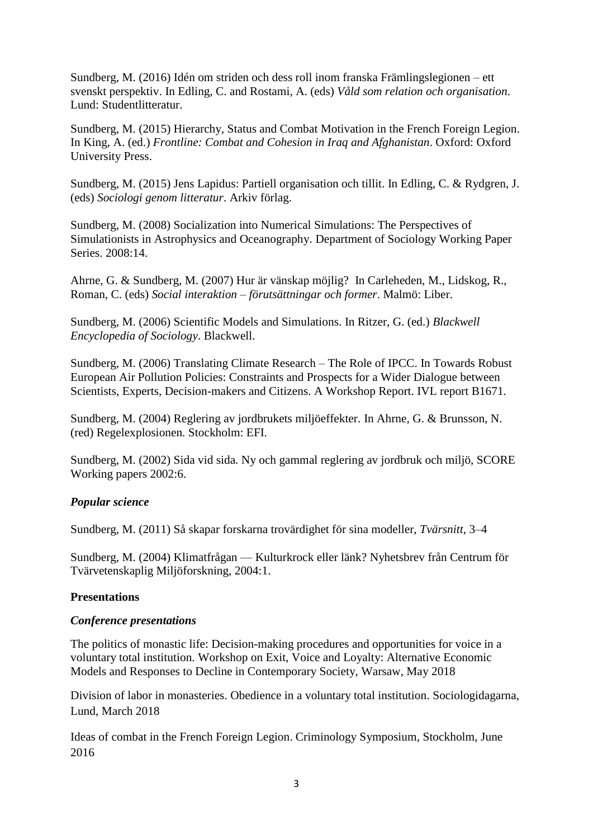Sundberg, M. (2016) Idén om striden och dess roll inom franska Främlingslegionen – ett svenskt perspektiv. In Edling, C. and Rostami, A. (eds) *Våld som relation och organisation*. Lund: Studentlitteratur.

Sundberg, M. (2015) Hierarchy, Status and Combat Motivation in the French Foreign Legion. In King, A. (ed.) *Frontline: Combat and Cohesion in Iraq and Afghanistan*. Oxford: Oxford University Press.

Sundberg, M. (2015) Jens Lapidus: Partiell organisation och tillit. In Edling, C. & Rydgren, J. (eds) *Sociologi genom litteratur*. Arkiv förlag.

Sundberg, M. (2008) [Socialization into Numerical Simulations: The Perspectives of](http://people.su.se/Min%20hemsida/wps14.pdf)  [Simulationists in Astrophysics and Oceanography.](http://people.su.se/Min%20hemsida/wps14.pdf) Department of Sociology Working Paper Series. 2008:14.

Ahrne, G. & Sundberg, M. (2007) Hur är vänskap möjlig? In Carleheden, M., Lidskog, R., Roman, C. (eds) *Social interaktion – förutsättningar och former*. Malmö: Liber.

Sundberg, M. (2006) Scientific Models and Simulations. In Ritzer, G. (ed.) *Blackwell Encyclopedia of Sociology*. Blackwell.

Sundberg, M. (2006) Translating Climate Research – The Role of IPCC. In Towards Robust European Air Pollution Policies: Constraints and Prospects for a Wider Dialogue between Scientists, Experts, Decision-makers and Citizens. A Workshop Report. IVL report B1671.

Sundberg, M. (2004) Reglering av jordbrukets miljöeffekter. In Ahrne, G. & Brunsson, N. (red) Regelexplosionen. Stockholm: EFI.

Sundberg, M. (2002) Sida vid sida. Ny och gammal reglering av jordbruk och miljö, SCORE Working papers 2002:6.

### *Popular science*

Sundberg, M. (2011) Så skapar forskarna trovärdighet för sina modeller, *Tvärsnitt*, 3–4

Sundberg, M. (2004) Klimatfrågan — Kulturkrock eller länk? Nyhetsbrev från Centrum för Tvärvetenskaplig Miljöforskning, 2004:1.

### **Presentations**

### *Conference presentations*

The politics of monastic life: Decision-making procedures and opportunities for voice in a voluntary total institution. Workshop on Exit, Voice and Loyalty: Alternative Economic Models and Responses to Decline in Contemporary Society, Warsaw, May 2018

Division of labor in monasteries. Obedience in a voluntary total institution. Sociologidagarna, Lund, March 2018

Ideas of combat in the French Foreign Legion. Criminology Symposium, Stockholm, June 2016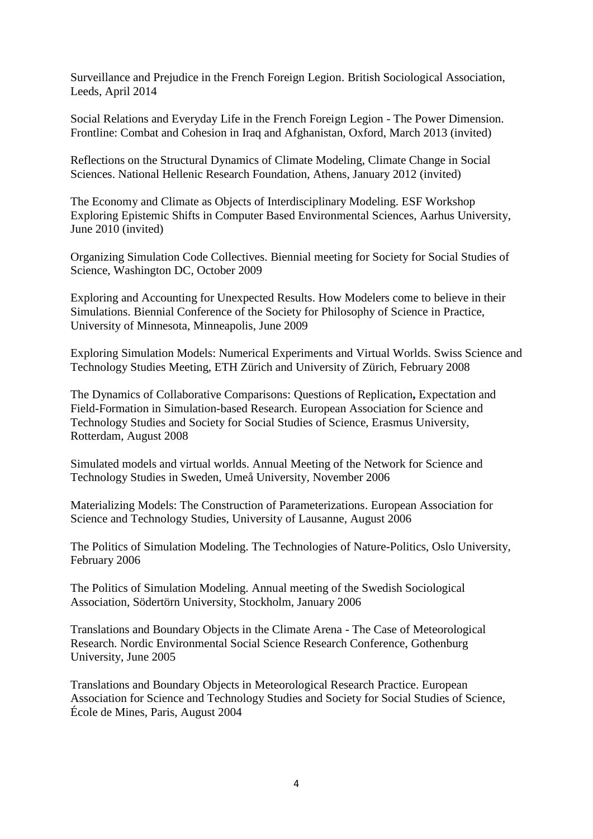Surveillance and Prejudice in the French Foreign Legion. British Sociological Association, Leeds, April 2014

Social Relations and Everyday Life in the French Foreign Legion - The Power Dimension. Frontline: Combat and Cohesion in Iraq and Afghanistan, Oxford, March 2013 (invited)

Reflections on the Structural Dynamics of Climate Modeling, Climate Change in Social Sciences. National Hellenic Research Foundation, Athens, January 2012 (invited)

The Economy and Climate as Objects of Interdisciplinary Modeling. ESF Workshop Exploring Epistemic Shifts in Computer Based Environmental Sciences, Aarhus University, June 2010 (invited)

Organizing Simulation Code Collectives. Biennial meeting for Society for Social Studies of Science, Washington DC, October 2009

Exploring and Accounting for Unexpected Results. How Modelers come to believe in their Simulations. Biennial Conference of the Society for Philosophy of Science in Practice, University of Minnesota, Minneapolis, June 2009

Exploring Simulation Models: Numerical Experiments and Virtual Worlds. Swiss Science and Technology Studies Meeting, ETH Zürich and University of Zürich, February 2008

The Dynamics of Collaborative Comparisons: Questions of Replication**,** Expectation and Field-Formation in Simulation-based Research. European Association for Science and Technology Studies and Society for Social Studies of Science, Erasmus University, Rotterdam, August 2008

Simulated models and virtual worlds. Annual Meeting of the Network for Science and Technology Studies in Sweden, Umeå University, November 2006

Materializing Models: The Construction of Parameterizations. European Association for Science and Technology Studies, University of Lausanne, August 2006

The Politics of Simulation Modeling. The Technologies of Nature-Politics, Oslo University, February 2006

The Politics of Simulation Modeling. Annual meeting of the Swedish Sociological Association, Södertörn University, Stockholm, January 2006

Translations and Boundary Objects in the Climate Arena - The Case of Meteorological Research. Nordic Environmental Social Science Research Conference, Gothenburg University, June 2005

Translations and Boundary Objects in Meteorological Research Practice. European Association for Science and Technology Studies and Society for Social Studies of Science, École de Mines, Paris, August 2004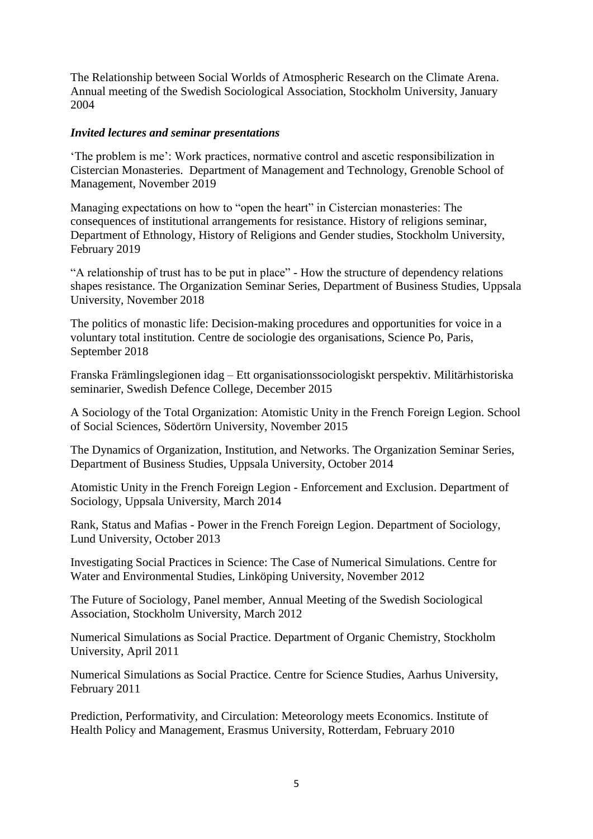The Relationship between Social Worlds of Atmospheric Research on the Climate Arena. Annual meeting of the Swedish Sociological Association, Stockholm University, January 2004

### *Invited lectures and seminar presentations*

'The problem is me': Work practices, normative control and ascetic responsibilization in Cistercian Monasteries. Department of Management and Technology, Grenoble School of Management, November 2019

Managing expectations on how to "open the heart" in Cistercian monasteries: The consequences of institutional arrangements for resistance. History of religions seminar, Department of Ethnology, History of Religions and Gender studies, Stockholm University, February 2019

"A relationship of trust has to be put in place" - How the structure of dependency relations shapes resistance. The Organization Seminar Series, Department of Business Studies, Uppsala University, November 2018

The politics of monastic life: Decision-making procedures and opportunities for voice in a voluntary total institution. Centre de sociologie des organisations, Science Po, Paris, September 2018

Franska Främlingslegionen idag – Ett organisationssociologiskt perspektiv. Militärhistoriska seminarier, Swedish Defence College, December 2015

A Sociology of the Total Organization: Atomistic Unity in the French Foreign Legion. School of Social Sciences, Södertörn University, November 2015

The Dynamics of Organization, Institution, and Networks. The Organization Seminar Series, Department of Business Studies, Uppsala University, October 2014

Atomistic Unity in the French Foreign Legion - Enforcement and Exclusion. Department of Sociology, Uppsala University, March 2014

Rank, Status and Mafias - Power in the French Foreign Legion. Department of Sociology, Lund University, October 2013

Investigating Social Practices in Science: The Case of Numerical Simulations. Centre for Water and Environmental Studies, Linköping University, November 2012

The Future of Sociology, Panel member, Annual Meeting of the Swedish Sociological Association, Stockholm University, March 2012

Numerical Simulations as Social Practice. Department of Organic Chemistry, Stockholm University, April 2011

Numerical Simulations as Social Practice. Centre for Science Studies, Aarhus University, February 2011

Prediction, Performativity, and Circulation: Meteorology meets Economics. Institute of Health Policy and Management, Erasmus University, Rotterdam, February 2010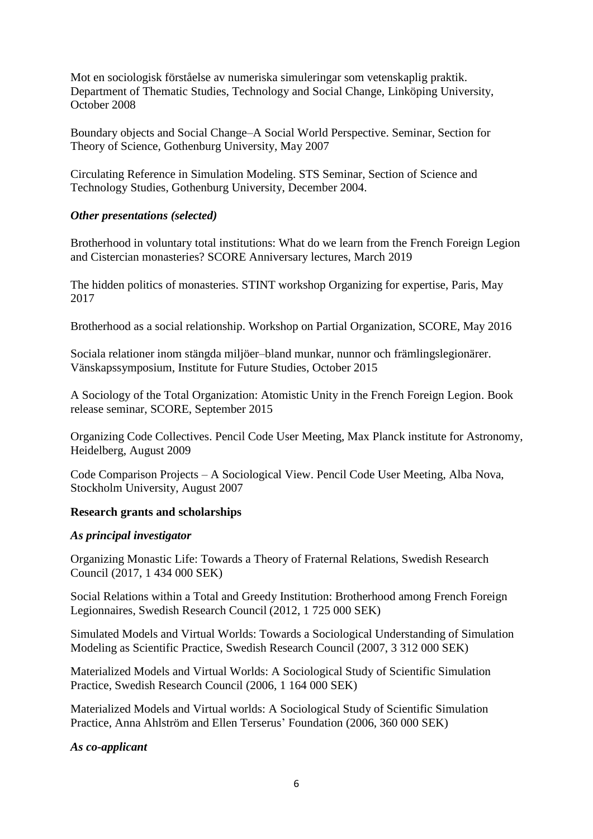Mot en sociologisk förståelse av numeriska simuleringar som vetenskaplig praktik. Department of Thematic Studies, Technology and Social Change, Linköping University, October 2008

Boundary objects and Social Change–A Social World Perspective. Seminar, Section for Theory of Science, Gothenburg University, May 2007

Circulating Reference in Simulation Modeling. STS Seminar, Section of Science and Technology Studies, Gothenburg University, December 2004.

### *Other presentations (selected)*

Brotherhood in voluntary total institutions: What do we learn from the French Foreign Legion and Cistercian monasteries? SCORE Anniversary lectures, March 2019

The hidden politics of monasteries. STINT workshop Organizing for expertise, Paris, May 2017

Brotherhood as a social relationship. Workshop on Partial Organization, SCORE, May 2016

Sociala relationer inom stängda miljöer–bland munkar, nunnor och främlingslegionärer. Vänskapssymposium, Institute for Future Studies, October 2015

A Sociology of the Total Organization: Atomistic Unity in the French Foreign Legion. Book release seminar, SCORE, September 2015

Organizing Code Collectives. Pencil Code User Meeting, Max Planck institute for Astronomy, Heidelberg, August 2009

Code Comparison Projects – A Sociological View. Pencil Code User Meeting, Alba Nova, Stockholm University, August 2007

### **Research grants and scholarships**

### *As principal investigator*

Organizing Monastic Life: Towards a Theory of Fraternal Relations, Swedish Research Council (2017, 1 434 000 SEK)

Social Relations within a Total and Greedy Institution: Brotherhood among French Foreign Legionnaires, Swedish Research Council (2012, 1 725 000 SEK)

Simulated Models and Virtual Worlds: Towards a Sociological Understanding of Simulation Modeling as Scientific Practice, Swedish Research Council (2007, 3 312 000 SEK)

Materialized Models and Virtual Worlds: A Sociological Study of Scientific Simulation Practice, Swedish Research Council (2006, 1 164 000 SEK)

Materialized Models and Virtual worlds: A Sociological Study of Scientific Simulation Practice, Anna Ahlström and Ellen Terserus' Foundation (2006, 360 000 SEK)

### *As co-applicant*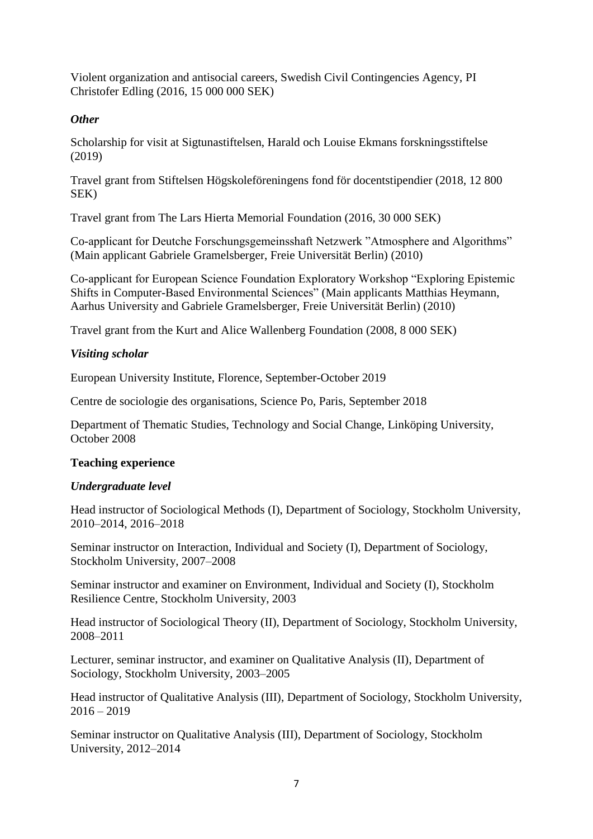Violent organization and antisocial careers, Swedish Civil Contingencies Agency, PI Christofer Edling (2016, 15 000 000 SEK)

### *Other*

Scholarship for visit at Sigtunastiftelsen, Harald och Louise Ekmans forskningsstiftelse (2019)

Travel grant from Stiftelsen Högskoleföreningens fond för docentstipendier (2018, 12 800 SEK)

Travel grant from The Lars Hierta Memorial Foundation (2016, 30 000 SEK)

Co-applicant for Deutche Forschungsgemeinsshaft Netzwerk "Atmosphere and Algorithms" (Main applicant Gabriele Gramelsberger, Freie Universität Berlin) (2010)

Co-applicant for European Science Foundation Exploratory Workshop "Exploring Epistemic Shifts in Computer-Based Environmental Sciences" (Main applicants Matthias Heymann, Aarhus University and Gabriele Gramelsberger, Freie Universität Berlin) (2010)

Travel grant from the Kurt and Alice Wallenberg Foundation (2008, 8 000 SEK)

### *Visiting scholar*

European University Institute, Florence, September-October 2019

Centre de sociologie des organisations, Science Po, Paris, September 2018

Department of Thematic Studies, Technology and Social Change, Linköping University, October 2008

### **Teaching experience**

### *Undergraduate level*

Head instructor of Sociological Methods (I), Department of Sociology, Stockholm University, 2010–2014, 2016–2018

Seminar instructor on Interaction, Individual and Society (I), Department of Sociology, Stockholm University, 2007–2008

Seminar instructor and examiner on Environment, Individual and Society (I), Stockholm Resilience Centre, Stockholm University, 2003

Head instructor of Sociological Theory (II), Department of Sociology, Stockholm University, 2008–2011

Lecturer, seminar instructor, and examiner on Qualitative Analysis (II), Department of Sociology, Stockholm University, 2003–2005

Head instructor of Qualitative Analysis (III), Department of Sociology, Stockholm University,  $2016 - 2019$ 

Seminar instructor on Qualitative Analysis (III), Department of Sociology, Stockholm University, 2012–2014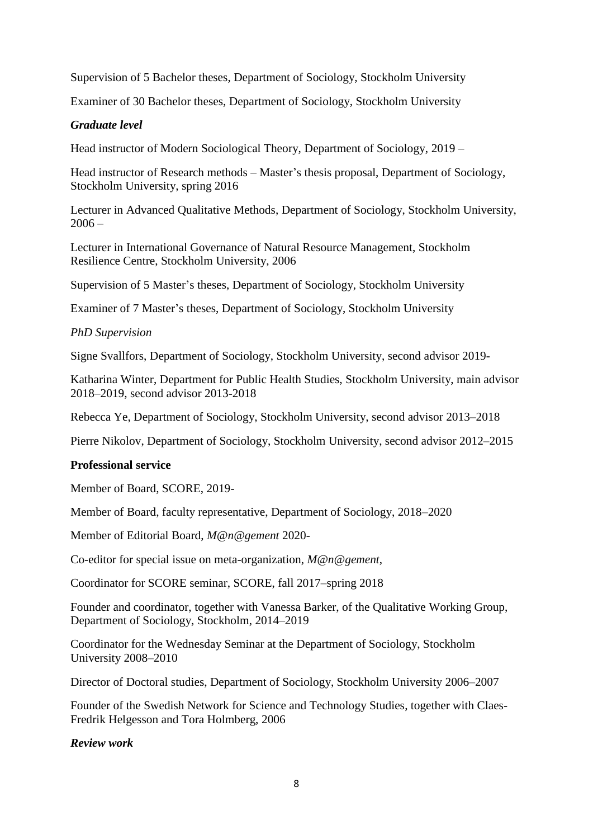Supervision of 5 Bachelor theses, Department of Sociology, Stockholm University

Examiner of 30 Bachelor theses, Department of Sociology, Stockholm University

### *Graduate level*

Head instructor of Modern Sociological Theory, Department of Sociology, 2019 –

Head instructor of Research methods – Master's thesis proposal, Department of Sociology, Stockholm University, spring 2016

Lecturer in Advanced Qualitative Methods, Department of Sociology, Stockholm University,  $2006 -$ 

Lecturer in International Governance of Natural Resource Management, Stockholm Resilience Centre, Stockholm University, 2006

Supervision of 5 Master's theses, Department of Sociology, Stockholm University

Examiner of 7 Master's theses, Department of Sociology, Stockholm University

### *PhD Supervision*

Signe Svallfors, Department of Sociology, Stockholm University, second advisor 2019-

Katharina Winter, Department for Public Health Studies, Stockholm University, main advisor 2018–2019, second advisor 2013-2018

Rebecca Ye, Department of Sociology, Stockholm University, second advisor 2013–2018

Pierre Nikolov, Department of Sociology, Stockholm University, second advisor 2012–2015

### **Professional service**

Member of Board, SCORE, 2019-

Member of Board, faculty representative, Department of Sociology, 2018–2020

Member of Editorial Board, *M@n@gement* 2020-

Co-editor for special issue on meta-organization, *M@n@gement*,

Coordinator for SCORE seminar, SCORE, fall 2017–spring 2018

Founder and coordinator, together with Vanessa Barker, of the Qualitative Working Group, Department of Sociology, Stockholm, 2014–2019

Coordinator for the Wednesday Seminar at the Department of Sociology, Stockholm University 2008–2010

Director of Doctoral studies, Department of Sociology, Stockholm University 2006–2007

Founder of the Swedish Network for Science and Technology Studies, together with Claes-Fredrik Helgesson and Tora Holmberg, 2006

### *Review work*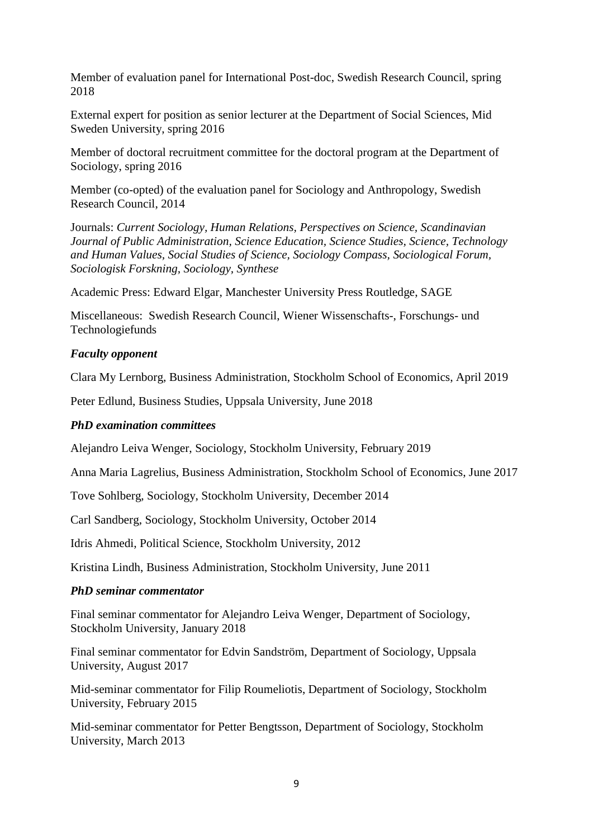Member of evaluation panel for International Post-doc, Swedish Research Council, spring 2018

External expert for position as senior lecturer at the Department of Social Sciences, Mid Sweden University, spring 2016

Member of doctoral recruitment committee for the doctoral program at the Department of Sociology, spring 2016

Member (co-opted) of the evaluation panel for Sociology and Anthropology, Swedish Research Council, 2014

Journals: *Current Sociology, Human Relations, Perspectives on Science, Scandinavian Journal of Public Administration, Science Education, Science Studies, Science, Technology and Human Values, Social Studies of Science, Sociology Compass, Sociological Forum, Sociologisk Forskning, Sociology, Synthese* 

Academic Press: Edward Elgar, Manchester University Press Routledge, SAGE

Miscellaneous: Swedish Research Council, Wiener Wissenschafts-, Forschungs- und Technologiefunds

### *Faculty opponent*

Clara My Lernborg, Business Administration, Stockholm School of Economics, April 2019

Peter Edlund, Business Studies, Uppsala University, June 2018

#### *PhD examination committees*

Alejandro Leiva Wenger, Sociology, Stockholm University, February 2019

Anna Maria Lagrelius, Business Administration, Stockholm School of Economics, June 2017

Tove Sohlberg, Sociology, Stockholm University, December 2014

Carl Sandberg, Sociology, Stockholm University, October 2014

Idris Ahmedi, Political Science, Stockholm University, 2012

Kristina Lindh, Business Administration, Stockholm University, June 2011

#### *PhD seminar commentator*

Final seminar commentator for Alejandro Leiva Wenger, Department of Sociology, Stockholm University, January 2018

Final seminar commentator for Edvin Sandström, Department of Sociology, Uppsala University, August 2017

Mid-seminar commentator for Filip Roumeliotis, Department of Sociology, Stockholm University, February 2015

Mid-seminar commentator for Petter Bengtsson, Department of Sociology, Stockholm University, March 2013